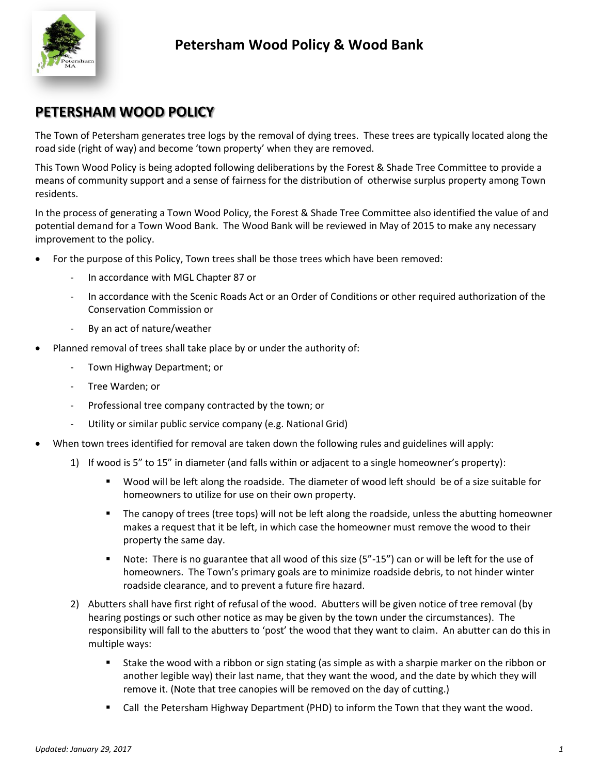

### **PETERSHAM WOOD POLICY**

The Town of Petersham generates tree logs by the removal of dying trees. These trees are typically located along the road side (right of way) and become 'town property' when they are removed.

This Town Wood Policy is being adopted following deliberations by the Forest & Shade Tree Committee to provide a means of community support and a sense of fairness for the distribution of otherwise surplus property among Town residents.

In the process of generating a Town Wood Policy, the Forest & Shade Tree Committee also identified the value of and potential demand for a Town Wood Bank. The Wood Bank will be reviewed in May of 2015 to make any necessary improvement to the policy.

- For the purpose of this Policy, Town trees shall be those trees which have been removed:
	- In accordance with MGL Chapter 87 or
	- In accordance with the Scenic Roads Act or an Order of Conditions or other required authorization of the Conservation Commission or
	- By an act of nature/weather
- Planned removal of trees shall take place by or under the authority of:
	- Town Highway Department; or
	- Tree Warden; or
	- Professional tree company contracted by the town; or
	- Utility or similar public service company (e.g. National Grid)
- When town trees identified for removal are taken down the following rules and guidelines will apply:
	- 1) If wood is 5" to 15" in diameter (and falls within or adjacent to a single homeowner's property):
		- Wood will be left along the roadside. The diameter of wood left should be of a size suitable for homeowners to utilize for use on their own property.
		- **The canopy of trees (tree tops) will not be left along the roadside, unless the abutting homeowner** makes a request that it be left, in which case the homeowner must remove the wood to their property the same day.
		- Note: There is no guarantee that all wood of this size (5"-15") can or will be left for the use of homeowners. The Town's primary goals are to minimize roadside debris, to not hinder winter roadside clearance, and to prevent a future fire hazard.
	- 2) Abutters shall have first right of refusal of the wood. Abutters will be given notice of tree removal (by hearing postings or such other notice as may be given by the town under the circumstances). The responsibility will fall to the abutters to 'post' the wood that they want to claim. An abutter can do this in multiple ways:
		- Stake the wood with a ribbon or sign stating (as simple as with a sharpie marker on the ribbon or another legible way) their last name, that they want the wood, and the date by which they will remove it. (Note that tree canopies will be removed on the day of cutting.)
		- **EXT** Call the Petersham Highway Department (PHD) to inform the Town that they want the wood.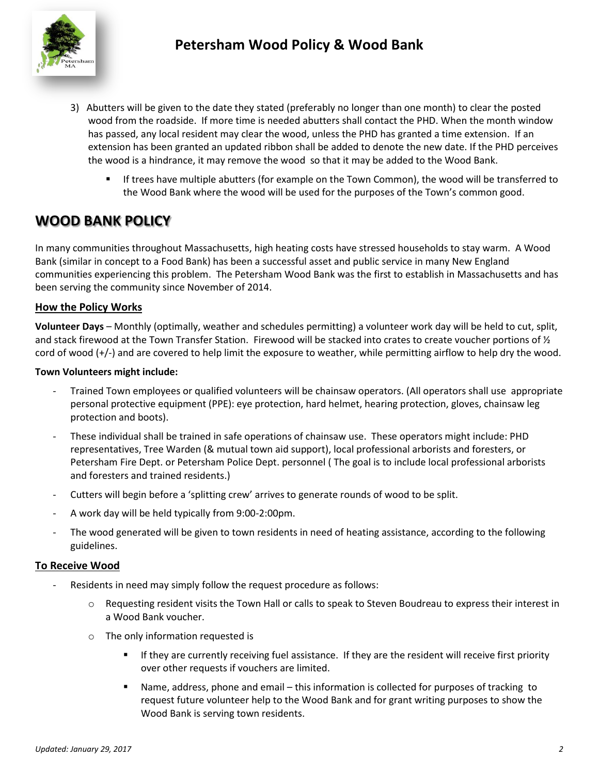

- 3) Abutters will be given to the date they stated (preferably no longer than one month) to clear the posted wood from the roadside. If more time is needed abutters shall contact the PHD. When the month window has passed, any local resident may clear the wood, unless the PHD has granted a time extension. If an extension has been granted an updated ribbon shall be added to denote the new date. If the PHD perceives the wood is a hindrance, it may remove the wood so that it may be added to the Wood Bank.
	- If trees have multiple abutters (for example on the Town Common), the wood will be transferred to the Wood Bank where the wood will be used for the purposes of the Town's common good.

## **WOOD BANK POLICY**

In many communities throughout Massachusetts, high heating costs have stressed households to stay warm. A Wood Bank (similar in concept to a Food Bank) has been a successful asset and public service in many New England communities experiencing this problem. The Petersham Wood Bank was the first to establish in Massachusetts and has been serving the community since November of 2014.

### **How the Policy Works**

**Volunteer Days** – Monthly (optimally, weather and schedules permitting) a volunteer work day will be held to cut, split, and stack firewood at the Town Transfer Station. Firewood will be stacked into crates to create voucher portions of  $\frac{1}{2}$ cord of wood (+/-) and are covered to help limit the exposure to weather, while permitting airflow to help dry the wood.

#### **Town Volunteers might include:**

- Trained Town employees or qualified volunteers will be chainsaw operators. (All operators shall use appropriate personal protective equipment (PPE): eye protection, hard helmet, hearing protection, gloves, chainsaw leg protection and boots).
- These individual shall be trained in safe operations of chainsaw use. These operators might include: PHD representatives, Tree Warden (& mutual town aid support), local professional arborists and foresters, or Petersham Fire Dept. or Petersham Police Dept. personnel ( The goal is to include local professional arborists and foresters and trained residents.)
- Cutters will begin before a 'splitting crew' arrives to generate rounds of wood to be split.
- A work day will be held typically from 9:00-2:00pm.
- The wood generated will be given to town residents in need of heating assistance, according to the following guidelines.

#### **To Receive Wood**

- Residents in need may simply follow the request procedure as follows:
	- o Requesting resident visits the Town Hall or calls to speak to Steven Boudreau to express their interest in a Wood Bank voucher.
	- o The only information requested is
		- If they are currently receiving fuel assistance. If they are the resident will receive first priority over other requests if vouchers are limited.
		- Name, address, phone and email this information is collected for purposes of tracking to request future volunteer help to the Wood Bank and for grant writing purposes to show the Wood Bank is serving town residents.